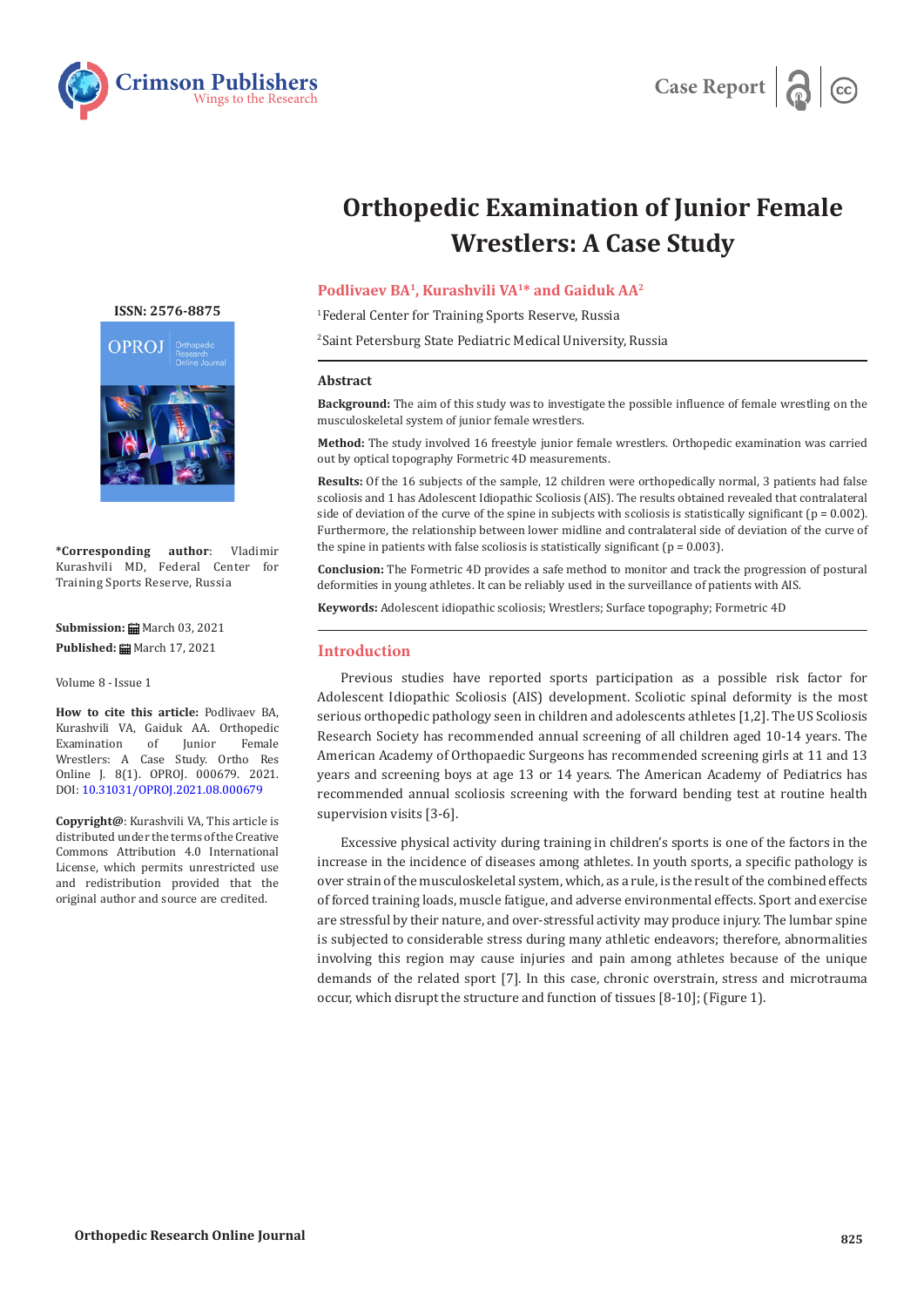



# **Orthopedic Examination of Junior Female Wrestlers: A Case Study**

# **Podlivaev BA1, Kurashvili VA1\* and Gaiduk AA2**

1 Federal Center for Training Sports Reserve, Russia

2 Saint Petersburg State Pediatric Medical University, Russia

## **Abstract**

**Background:** The aim of this study was to investigate the possible influence of female wrestling on the musculoskeletal system of junior female wrestlers.

**Method:** The study involved 16 freestyle junior female wrestlers. Orthopedic examination was carried out by optical topography Formetric 4D measurements.

**Results:** Of the 16 subjects of the sample, 12 children were orthopedically normal, 3 patients had false scoliosis and 1 has Adolescent Idiopathic Scoliosis (AIS). The results obtained revealed that contralateral side of deviation of the curve of the spine in subjects with scoliosis is statistically significant ( $p = 0.002$ ). Furthermore, the relationship between lower midline and contralateral side of deviation of the curve of the spine in patients with false scoliosis is statistically significant ( $p = 0.003$ ).

**Conclusion:** The Formetric 4D provides a safe method to monitor and track the progression of postural deformities in young athletes. It can be reliably used in the surveillance of patients with AIS.

**Keywords:** Adolescent idiopathic scoliosis; Wrestlers; Surface topography; Formetric 4D

## **Introduction**

Previous studies have reported sports participation as a possible risk factor for Adolescent Idiopathic Scoliosis (AIS) development. Scoliotic spinal deformity is the most serious orthopedic pathology seen in children and adolescents athletes [1,2]. The US Scoliosis Research Society has recommended annual screening of all children aged 10-14 years. The American Academy of Orthopaedic Surgeons has recommended screening girls at 11 and 13 years and screening boys at age 13 or 14 years. The American Academy of Pediatrics has recommended annual scoliosis screening with the forward bending test at routine health supervision visits [3-6].

Excessive physical activity during training in children's sports is one of the factors in the increase in the incidence of diseases among athletes. In youth sports, a specific pathology is over strain of the musculoskeletal system, which, as a rule, is the result of the combined effects of forced training loads, muscle fatigue, and adverse environmental effects. Sport and exercise are stressful by their nature, and over-stressful activity may produce injury. The lumbar spine is subjected to considerable stress during many athletic endeavors; therefore, abnormalities involving this region may cause injuries and pain among athletes because of the unique demands of the related sport [7]. In this case, chronic overstrain, stress and microtrauma occur, which disrupt the structure and function of tissues [8-10]; (Figure 1).

**[ISSN: 2576-8875](https://www.crimsonpublishers.com/oproj/)**



**\*Corresponding author**: Vladimir Kurashvili MD, Federal Center for Training Sports Reserve, Russia

**Submission: H** March 03, 2021 Published: **■** March 17, 2021

Volume 8 - Issue 1

**How to cite this article:** Podlivaev BA, Kurashvili VA, Gaiduk AA. Orthopedic Examination of Junior Wrestlers: A Case Study. Ortho Res Online J. 8(1). OPROJ. 000679. 2021. DOI: [10.31031/OPROJ.2021.08.0006](http://dx.doi.org/10.31031/OPROJ.2021.08.000679)79

**Copyright@**: Kurashvili VA, This article is distributed under the terms of the Creative Commons Attribution 4.0 International License, which permits unrestricted use and redistribution provided that the original author and source are credited.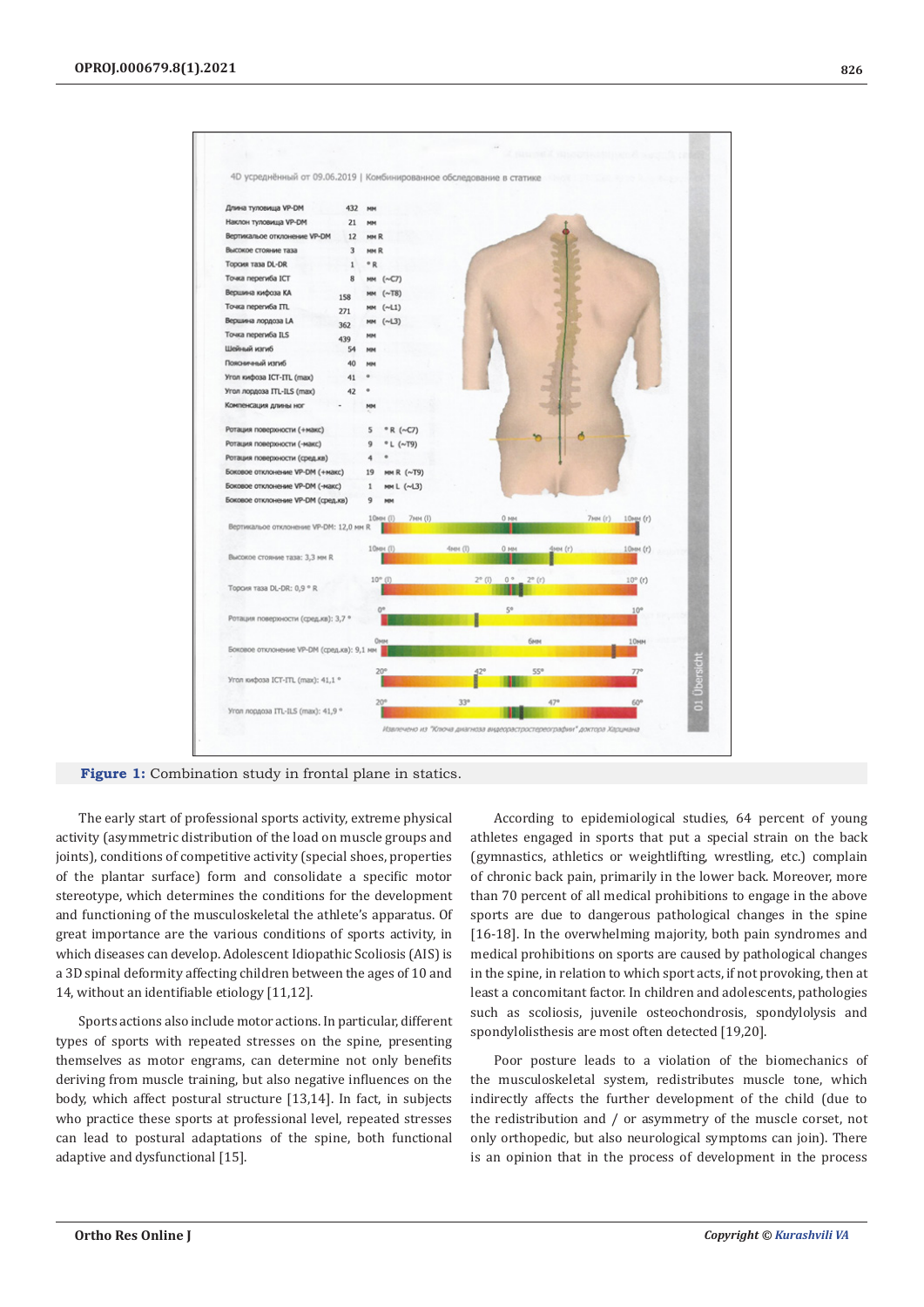

**Figure 1:** Combination study in frontal plane in statics.

The early start of professional sports activity, extreme physical activity (asymmetric distribution of the load on muscle groups and joints), conditions of competitive activity (special shoes, properties of the plantar surface) form and consolidate a specific motor stereotype, which determines the conditions for the development and functioning of the musculoskeletal the athlete's apparatus. Of great importance are the various conditions of sports activity, in which diseases can develop. Adolescent Idiopathic Scoliosis (AIS) is a 3D spinal deformity affecting children between the ages of 10 and 14, without an identifiable etiology [11,12].

Sports actions also include motor actions. In particular, different types of sports with repeated stresses on the spine, presenting themselves as motor engrams, can determine not only benefits deriving from muscle training, but also negative influences on the body, which affect postural structure [13,14]. In fact, in subjects who practice these sports at professional level, repeated stresses can lead to postural adaptations of the spine, both functional adaptive and dysfunctional [15].

According to epidemiological studies, 64 percent of young athletes engaged in sports that put a special strain on the back (gymnastics, athletics or weightlifting, wrestling, etc.) complain of chronic back pain, primarily in the lower back. Moreover, more than 70 percent of all medical prohibitions to engage in the above sports are due to dangerous pathological changes in the spine [16-18]. In the overwhelming majority, both pain syndromes and medical prohibitions on sports are caused by pathological changes in the spine, in relation to which sport acts, if not provoking, then at least a concomitant factor. In children and adolescents, pathologies such as scoliosis, juvenile osteochondrosis, spondylolysis and spondylolisthesis are most often detected [19,20].

Poor posture leads to a violation of the biomechanics of the musculoskeletal system, redistributes muscle tone, which indirectly affects the further development of the child (due to the redistribution and / or asymmetry of the muscle corset, not only orthopedic, but also neurological symptoms can join). There is an opinion that in the process of development in the process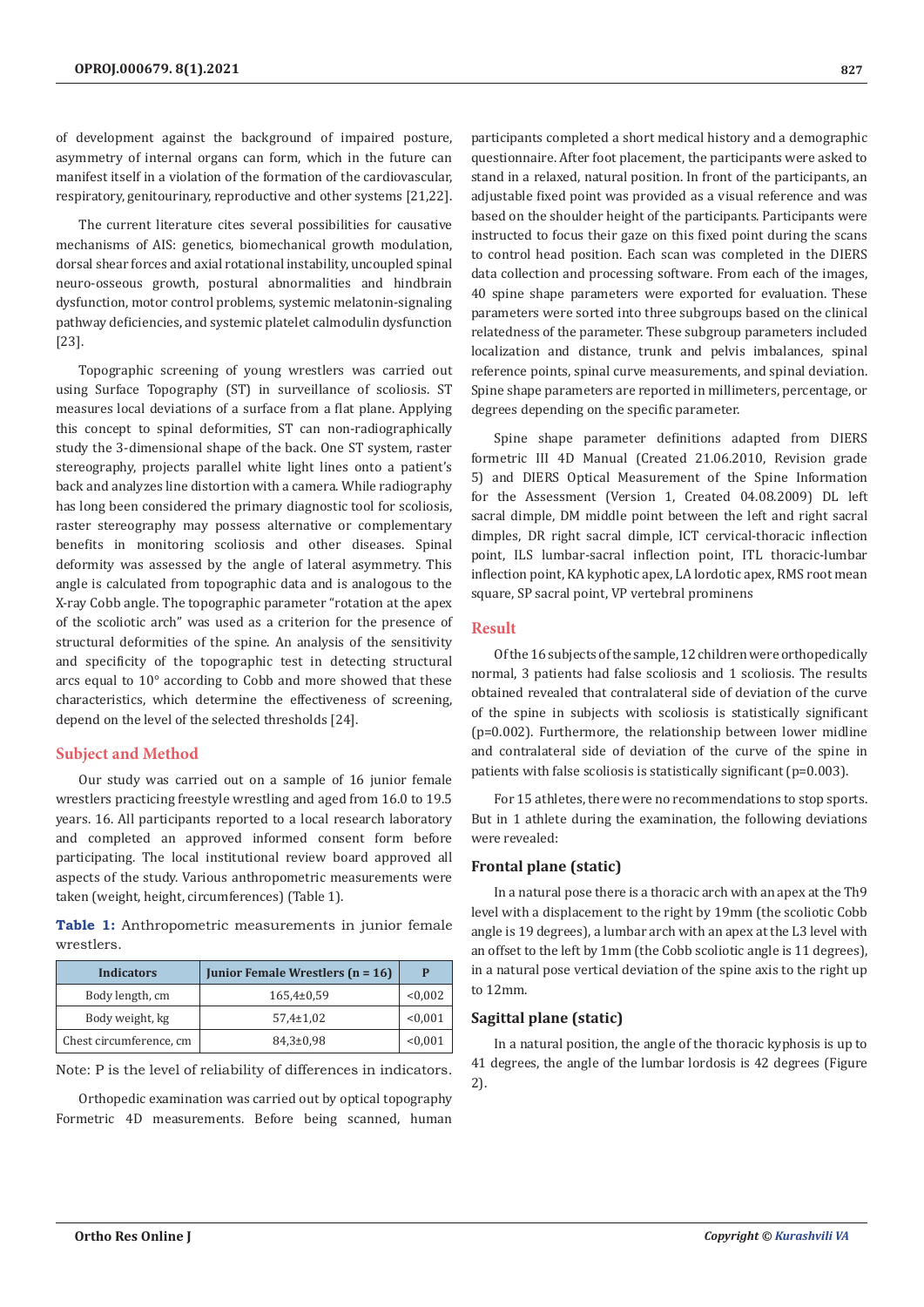of development against the background of impaired posture, asymmetry of internal organs can form, which in the future can manifest itself in a violation of the formation of the cardiovascular, respiratory, genitourinary, reproductive and other systems [21,22].

The current literature cites several possibilities for causative mechanisms of AIS: genetics, biomechanical growth modulation, dorsal shear forces and axial rotational instability, uncoupled spinal neuro-osseous growth, postural abnormalities and hindbrain dysfunction, motor control problems, systemic melatonin-signaling pathway deficiencies, and systemic platelet calmodulin dysfunction [23].

Topographic screening of young wrestlers was carried out using Surface Topography (ST) in surveillance of scoliosis. ST measures local deviations of a surface from a flat plane. Applying this concept to spinal deformities, ST can non-radiographically study the 3-dimensional shape of the back. One ST system, raster stereography, projects parallel white light lines onto a patient's back and analyzes line distortion with a camera. While radiography has long been considered the primary diagnostic tool for scoliosis, raster stereography may possess alternative or complementary benefits in monitoring scoliosis and other diseases. Spinal deformity was assessed by the angle of lateral asymmetry. This angle is calculated from topographic data and is analogous to the X-ray Cobb angle. The topographic parameter "rotation at the apex of the scoliotic arch" was used as a criterion for the presence of structural deformities of the spine. An analysis of the sensitivity and specificity of the topographic test in detecting structural arcs equal to 10° according to Cobb and more showed that these characteristics, which determine the effectiveness of screening, depend on the level of the selected thresholds [24].

#### **Subject and Method**

Our study was carried out on a sample of 16 junior female wrestlers practicing freestyle wrestling and aged from 16.0 to 19.5 years. 16. All participants reported to a local research laboratory and completed an approved informed consent form before participating. The local institutional review board approved all aspects of the study. Various anthropometric measurements were taken (weight, height, circumferences) (Table 1).

**Table 1:** Anthropometric measurements in junior female wrestlers.

| <b>Indicators</b>       | Junior Female Wrestlers (n = 16) | P       |
|-------------------------|----------------------------------|---------|
| Body length, cm         | $165,4\pm0.59$                   | < 0.002 |
| Body weight, kg         | $57.4 \pm 1.02$                  | < 0.001 |
| Chest circumference, cm | $84,3 \pm 0.98$                  | < 0.001 |

Note: P is the level of reliability of differences in indicators.

Orthopedic examination was carried out by optical topography Formetric 4D measurements. Before being scanned, human

participants completed a short medical history and a demographic questionnaire. After foot placement, the participants were asked to stand in a relaxed, natural position. In front of the participants, an adjustable fixed point was provided as a visual reference and was based on the shoulder height of the participants. Participants were instructed to focus their gaze on this fixed point during the scans to control head position. Each scan was completed in the DIERS data collection and processing software. From each of the images, 40 spine shape parameters were exported for evaluation. These parameters were sorted into three subgroups based on the clinical relatedness of the parameter. These subgroup parameters included localization and distance, trunk and pelvis imbalances, spinal reference points, spinal curve measurements, and spinal deviation. Spine shape parameters are reported in millimeters, percentage, or degrees depending on the specific parameter.

Spine shape parameter definitions adapted from DIERS formetric III 4D Manual (Created 21.06.2010, Revision grade 5) and DIERS Optical Measurement of the Spine Information for the Assessment (Version 1, Created 04.08.2009) DL left sacral dimple, DM middle point between the left and right sacral dimples, DR right sacral dimple, ICT cervical-thoracic inflection point, ILS lumbar-sacral inflection point, ITL thoracic-lumbar inflection point, KA kyphotic apex, LA lordotic apex, RMS root mean square, SP sacral point, VP vertebral prominens

#### **Result**

Of the 16 subjects of the sample, 12 children were orthopedically normal, 3 patients had false scoliosis and 1 scoliosis. The results obtained revealed that contralateral side of deviation of the curve of the spine in subjects with scoliosis is statistically significant (p=0.002). Furthermore, the relationship between lower midline and contralateral side of deviation of the curve of the spine in patients with false scoliosis is statistically significant (p=0.003).

For 15 athletes, there were no recommendations to stop sports. But in 1 athlete during the examination, the following deviations were revealed:

#### **Frontal plane (static)**

In a natural pose there is a thoracic arch with an apex at the Th9 level with a displacement to the right by 19mm (the scoliotic Cobb angle is 19 degrees), a lumbar arch with an apex at the L3 level with an offset to the left by 1mm (the Cobb scoliotic angle is 11 degrees), in a natural pose vertical deviation of the spine axis to the right up to 12mm.

# **Sagittal plane (static)**

In a natural position, the angle of the thoracic kyphosis is up to 41 degrees, the angle of the lumbar lordosis is 42 degrees (Figure 2).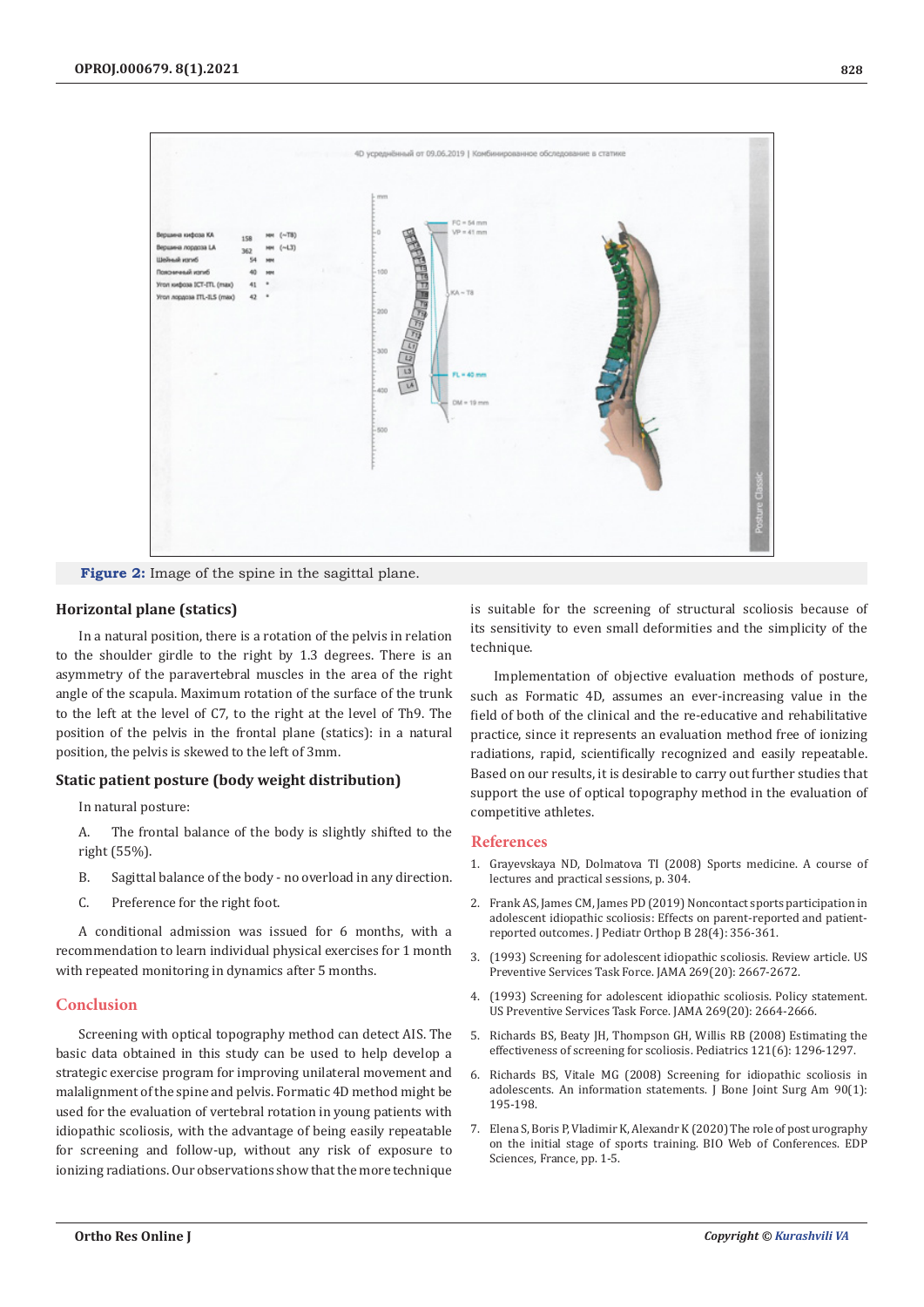

**Figure 2:** Image of the spine in the sagittal plane.

#### **Horizontal plane (statics)**

In a natural position, there is a rotation of the pelvis in relation to the shoulder girdle to the right by 1.3 degrees. There is an asymmetry of the paravertebral muscles in the area of the right angle of the scapula. Maximum rotation of the surface of the trunk to the left at the level of C7, to the right at the level of Th9. The position of the pelvis in the frontal plane (statics): in a natural position, the pelvis is skewed to the left of 3mm.

#### **Static patient posture (body weight distribution)**

In natural posture:

A. The frontal balance of the body is slightly shifted to the right (55%).

- B. Sagittal balance of the body no overload in any direction.
- C. Preference for the right foot.

A conditional admission was issued for 6 months, with a recommendation to learn individual physical exercises for 1 month with repeated monitoring in dynamics after 5 months.

#### **Conclusion**

Screening with optical topography method can detect AIS. The basic data obtained in this study can be used to help develop a strategic exercise program for improving unilateral movement and malalignment of the spine and pelvis. Formatic 4D method might be used for the evaluation of vertebral rotation in young patients with idiopathic scoliosis, with the advantage of being easily repeatable for screening and follow-up, without any risk of exposure to ionizing radiations. Our observations show that the more technique

is suitable for the screening of structural scoliosis because of its sensitivity to even small deformities and the simplicity of the technique.

Implementation of objective evaluation methods of posture, such as Formatic 4D, assumes an ever-increasing value in the field of both of the clinical and the re-educative and rehabilitative practice, since it represents an evaluation method free of ionizing radiations, rapid, scientifically recognized and easily repeatable. Based on our results, it is desirable to carry out further studies that support the use of optical topography method in the evaluation of competitive athletes.

# **References**

- 1. Grayevskaya ND, Dolmatova TI (2008) Sports medicine. A course of lectures and practical sessions, p. 304.
- 2. [Frank AS, James CM, James PD \(2019\) Noncontact sports participation in](https://pubmed.ncbi.nlm.nih.gov/30489444/) [adolescent idiopathic scoliosis: Effects on parent-reported and patient](https://pubmed.ncbi.nlm.nih.gov/30489444/)[reported outcomes. J Pediatr Orthop B 28\(4\): 356-361.](https://pubmed.ncbi.nlm.nih.gov/30489444/)
- 3. [\(1993\) Screening for adolescent idiopathic scoliosis. Review article. US](https://pubmed.ncbi.nlm.nih.gov/8487452/) [Preventive Services Task Force. JAMA 269\(20\): 2667-2672.](https://pubmed.ncbi.nlm.nih.gov/8487452/)
- 4. [\(1993\) Screening for adolescent idiopathic scoliosis. Policy statement.](https://pubmed.ncbi.nlm.nih.gov/8487451/) [US Preventive Services Task Force. JAMA 269\(20\): 2664-2666.](https://pubmed.ncbi.nlm.nih.gov/8487451/)
- 5. [Richards BS, Beaty JH, Thompson GH, Willis RB \(2008\) Estimating the](https://pubmed.ncbi.nlm.nih.gov/18519508/) [effectiveness of screening for scoliosis. Pediatrics 121\(6\): 1296-1297.](https://pubmed.ncbi.nlm.nih.gov/18519508/)
- 6. [Richards BS, Vitale MG \(2008\) Screening for idiopathic scoliosis in](https://pubmed.ncbi.nlm.nih.gov/18171974/) [adolescents. An information statements. J Bone Joint Surg Am 90\(1\):](https://pubmed.ncbi.nlm.nih.gov/18171974/) [195-198.](https://pubmed.ncbi.nlm.nih.gov/18171974/)
- 7. Elena S, Boris P, Vladimir K, Alexandr K (2020) The role of post urography on the initial stage of sports training. BIO Web of Conferences. EDP Sciences, France, pp. 1-5.